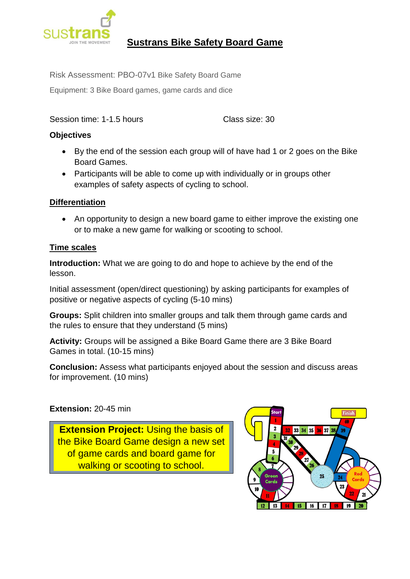

# **Sustrans Bike Safety Board Game**

Risk Assessment: PBO-07v1 Bike Safety Board Game

Equipment: 3 Bike Board games, game cards and dice

Session time: 1-1.5 hours Class size: 30

## **Objectives**

- By the end of the session each group will of have had 1 or 2 goes on the Bike Board Games.
- Participants will be able to come up with individually or in groups other examples of safety aspects of cycling to school.

## **Differentiation**

• An opportunity to design a new board game to either improve the existing one or to make a new game for walking or scooting to school.

#### **Time scales**

**Introduction:** What we are going to do and hope to achieve by the end of the lesson.

Initial assessment (open/direct questioning) by asking participants for examples of positive or negative aspects of cycling (5-10 mins)

**Groups:** Split children into smaller groups and talk them through game cards and the rules to ensure that they understand (5 mins)

**Activity:** Groups will be assigned a Bike Board Game there are 3 Bike Board Games in total. (10-15 mins)

**Conclusion:** Assess what participants enjoyed about the session and discuss areas for improvement. (10 mins)

# **Extension:** 20-45 min

**Extension Project: Using the basis of** the Bike Board Game design a new set of game cards and board game for walking or scooting to school.

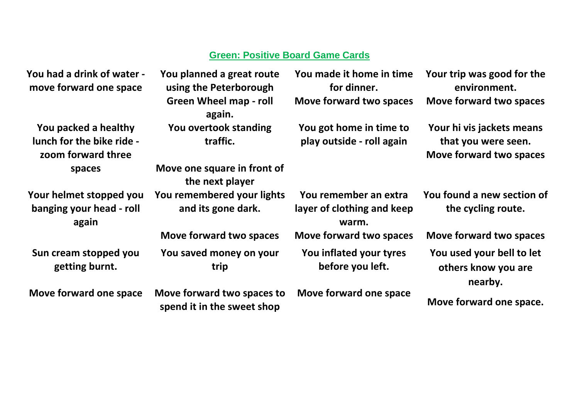# **Green: Positive Board Game Cards**

| You had a drink of water -<br>move forward one space                    | You planned a great route<br>using the Peterborough      | You made it home in time<br>for dinner.                      | Your trip was good for the<br>environment.                                  |
|-------------------------------------------------------------------------|----------------------------------------------------------|--------------------------------------------------------------|-----------------------------------------------------------------------------|
|                                                                         | <b>Green Wheel map - roll</b><br>again.                  | Move forward two spaces                                      | Move forward two spaces                                                     |
| You packed a healthy<br>lunch for the bike ride -<br>zoom forward three | You overtook standing<br>traffic.                        | You got home in time to<br>play outside - roll again         | Your hi vis jackets means<br>that you were seen.<br>Move forward two spaces |
| spaces                                                                  | Move one square in front of<br>the next player           |                                                              |                                                                             |
| Your helmet stopped you<br>banging your head - roll<br>again            | You remembered your lights<br>and its gone dark.         | You remember an extra<br>layer of clothing and keep<br>warm. | You found a new section of<br>the cycling route.                            |
|                                                                         | Move forward two spaces                                  | Move forward two spaces                                      | Move forward two spaces                                                     |
| Sun cream stopped you<br>getting burnt.                                 | You saved money on your<br>trip                          | You inflated your tyres<br>before you left.                  | You used your bell to let<br>others know you are                            |
| Move forward one space                                                  | Move forward two spaces to<br>spend it in the sweet shop | Move forward one space                                       | nearby.                                                                     |
|                                                                         |                                                          |                                                              | Move forward one space.                                                     |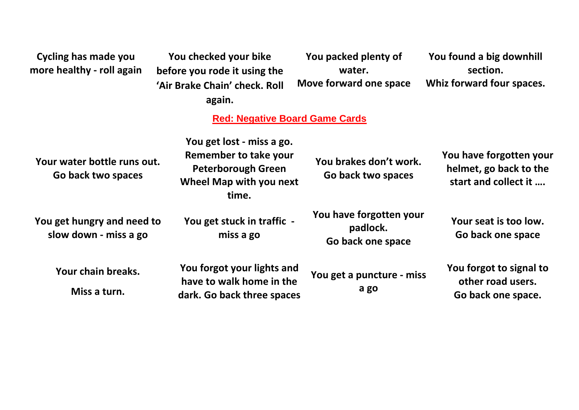| <b>Cycling has made you</b><br>more healthy - roll again | You checked your bike<br>before you rode it using the<br>'Air Brake Chain' check. Roll<br>again.                    | You packed plenty of<br>water.<br>Move forward one space | You found a big downhill<br>section.<br>Whiz forward four spaces.         |
|----------------------------------------------------------|---------------------------------------------------------------------------------------------------------------------|----------------------------------------------------------|---------------------------------------------------------------------------|
|                                                          | <b>Red: Negative Board Game Cards</b>                                                                               |                                                          |                                                                           |
| Your water bottle runs out.<br>Go back two spaces        | You get lost - miss a go.<br>Remember to take your<br><b>Peterborough Green</b><br>Wheel Map with you next<br>time. | You brakes don't work.<br>Go back two spaces             | You have forgotten your<br>helmet, go back to the<br>start and collect it |
| You get hungry and need to<br>slow down - miss a go      | You get stuck in traffic -<br>miss a go                                                                             | You have forgotten your<br>padlock.<br>Go back one space | Your seat is too low.<br>Go back one space                                |
| Your chain breaks.<br>Miss a turn.                       | You forgot your lights and<br>have to walk home in the<br>dark. Go back three spaces                                | You get a puncture - miss<br>a go                        | You forgot to signal to<br>other road users.<br>Go back one space.        |